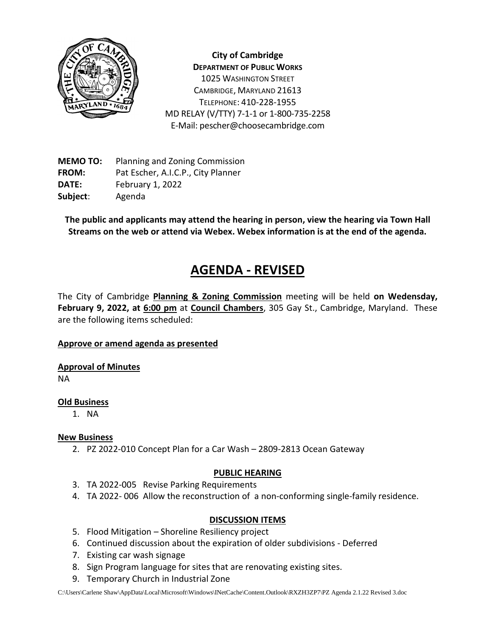

**City of Cambridge DEPARTMENT OF PUBLIC WORKS** 1025 WASHINGTON STREET CAMBRIDGE, MARYLAND 21613 TELEPHONE: 410-228-1955 MD RELAY (V/TTY) 7-1-1 or 1-800-735-2258 E-Mail: pescher@choosecambridge.com

**MEMO TO:** Planning and Zoning Commission **FROM:** Pat Escher, A.I.C.P., City Planner **DATE:** February 1, 2022 **Subject**: Agenda

**The public and applicants may attend the hearing in person, view the hearing via Town Hall Streams on the web or attend via Webex. Webex information is at the end of the agenda.**

# **AGENDA - REVISED**

The City of Cambridge **Planning & Zoning Commission** meeting will be held **on Wedensday, February 9, 2022, at 6:00 pm** at **Council Chambers**, 305 Gay St., Cambridge, Maryland. These are the following items scheduled:

### **Approve or amend agenda as presented**

**Approval of Minutes**

NA

# **Old Business**

1. NA

# **New Business**

2. PZ 2022-010 Concept Plan for a Car Wash – 2809-2813 Ocean Gateway

### **PUBLIC HEARING**

- 3. TA 2022-005 Revise Parking Requirements
- 4. TA 2022- 006 Allow the reconstruction of a non-conforming single-family residence.

# **DISCUSSION ITEMS**

- 5. Flood Mitigation Shoreline Resiliency project
- 6. Continued discussion about the expiration of older subdivisions Deferred
- 7. Existing car wash signage
- 8. Sign Program language for sites that are renovating existing sites.
- 9. Temporary Church in Industrial Zone

C:\Users\Carlene Shaw\AppData\Local\Microsoft\Windows\INetCache\Content.Outlook\RXZH3ZP7\PZ Agenda 2.1.22 Revised 3.doc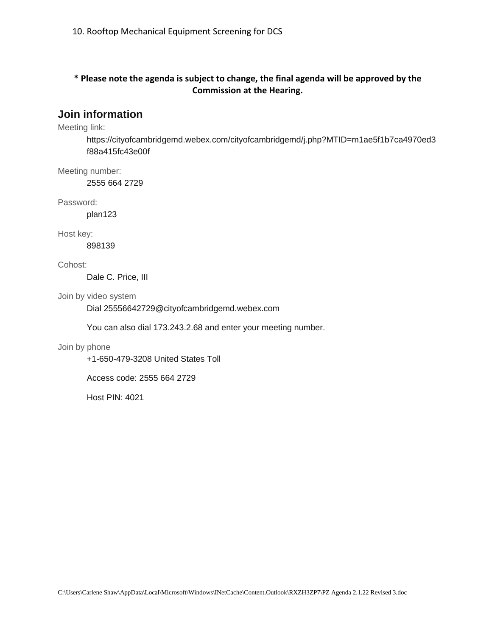# **\* Please note the agenda is subject to change, the final agenda will be approved by the Commission at the Hearing.**

# **Join information**

Meeting link:

https://cityofcambridgemd.webex.com/cityofcambridgemd/j.php?MTID=m1ae5f1b7ca4970ed3 f88a415fc43e00f

Meeting number:

2555 664 2729

Password:

plan123

Host key:

898139

Cohost:

Dale C. Price, III

Join by video system

Dial 25556642729@cityofcambridgemd.webex.com

You can also dial 173.243.2.68 and enter your meeting number.

#### Join by phone

+1-650-479-3208 United States Toll

Access code: 2555 664 2729

Host PIN: 4021